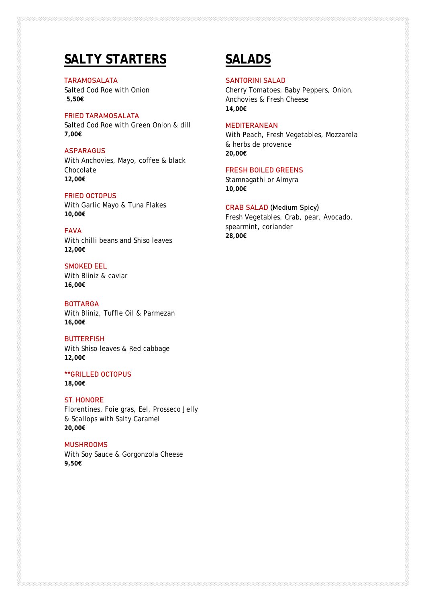# **SALTY STARTERS**

TARAMOSALATA Salted Cod Roe with Onion **5,50€**

FRIED TARAMOSALATA Salted Cod Roe with Green Onion & dill **7,00€**

#### **ASPARAGUS**

With Anchovies, Mayo, coffee & black Chocolate **12,00€**

## FRIED OCTOPUS

With Garlic Mayo & Tuna Flakes **10,00€**

#### FAVA

With chilli beans and Shiso leaves **12,00€**

## SMOKED EEL

With Bliniz & caviar **16,00€**

### **BOTTARGA**

With Bliniz, Tuffle Oil & Parmezan **16,00€**

#### **BUTTERFISH**

With Shiso leaves & Red cabbage **12,00€**

#### \*\*GRILLED OCTOPUS

**18,00€**

#### ST. HONORE

Florentines, Foie gras, Eel, Prosseco Jelly & Scallops with Salty Caramel **20,00€**

#### MUSHROOMS

With Soy Sauce & Gorgonzola Cheese **9,50€**

## **SALADS**

#### SANTORINI SALAD

Cherry Tomatoes, Baby Peppers, Onion, Anchovies & Fresh Cheese **14,00€**

### MEDITERANEAN

With Peach, Fresh Vegetables, Mozzarela & herbs de provence **20,00€**

## FRESH BOILED GREENS

Stamnagathi or Almyra **10,00€**

#### CRAB SALAD (Medium Spicy)

Fresh Vegetables, Crab, pear, Avocado, spearmint, coriander **28,00€**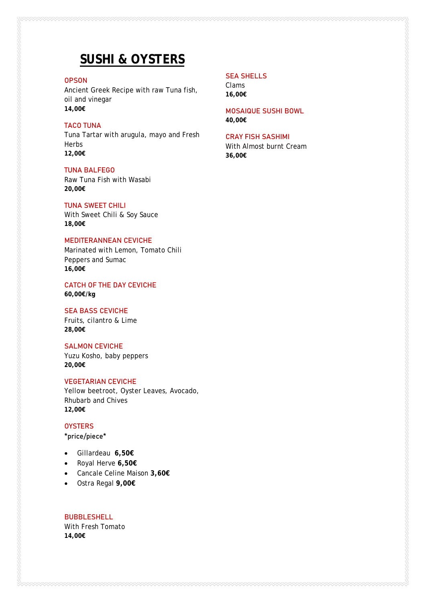## **SUSHI & OYSTERS**

#### **OPSON**

Ancient Greek Recipe with raw Tuna fish, oil and vinegar **14,00€**

### TACO TUNA

Tuna Tartar with arugula, mayo and Fresh Herbs **12,00€**

#### ΤUNA BALFEGO

Raw Tuna Fish with Wasabi **20,00€**

#### ΤUNA SWEET CHILI

With Sweet Chili & Soy Sauce **18,00€**

## MEDITERANNEAN CEVICHE

Marinated with Lemon, Tomato Chili Peppers and Sumac **16,00€**

CATCH OF THE DAY CEVICHE **60,00€/kg**

#### SEA BASS CEVICHE

Fruits, cilantro & Lime **28,00€**

#### SALMON CEVICHE

Yuzu Kosho, baby peppers **20,00€**

## VEGETARIAN CEVICHE

Yellow beetroot, Oyster Leaves, Avocado, Rhubarb and Chives **12,00€**

#### **OYSTERS**

\*price/piece\*

- Gillardeau **6,50€**
- Royal Herve **6,50€**
- Cancale Celine Maison **3,60€**
- Ostra Regal **9,00€**

**BUBBLESHELL** With Fresh Tomato **14,00€**

## SEA SHELLS

Clams **16,00€**

MOSAIQUE SUSHI BOWL **40,00€**

### CRAY FISH SASHIMI

With Almost burnt Cream **36,00€**